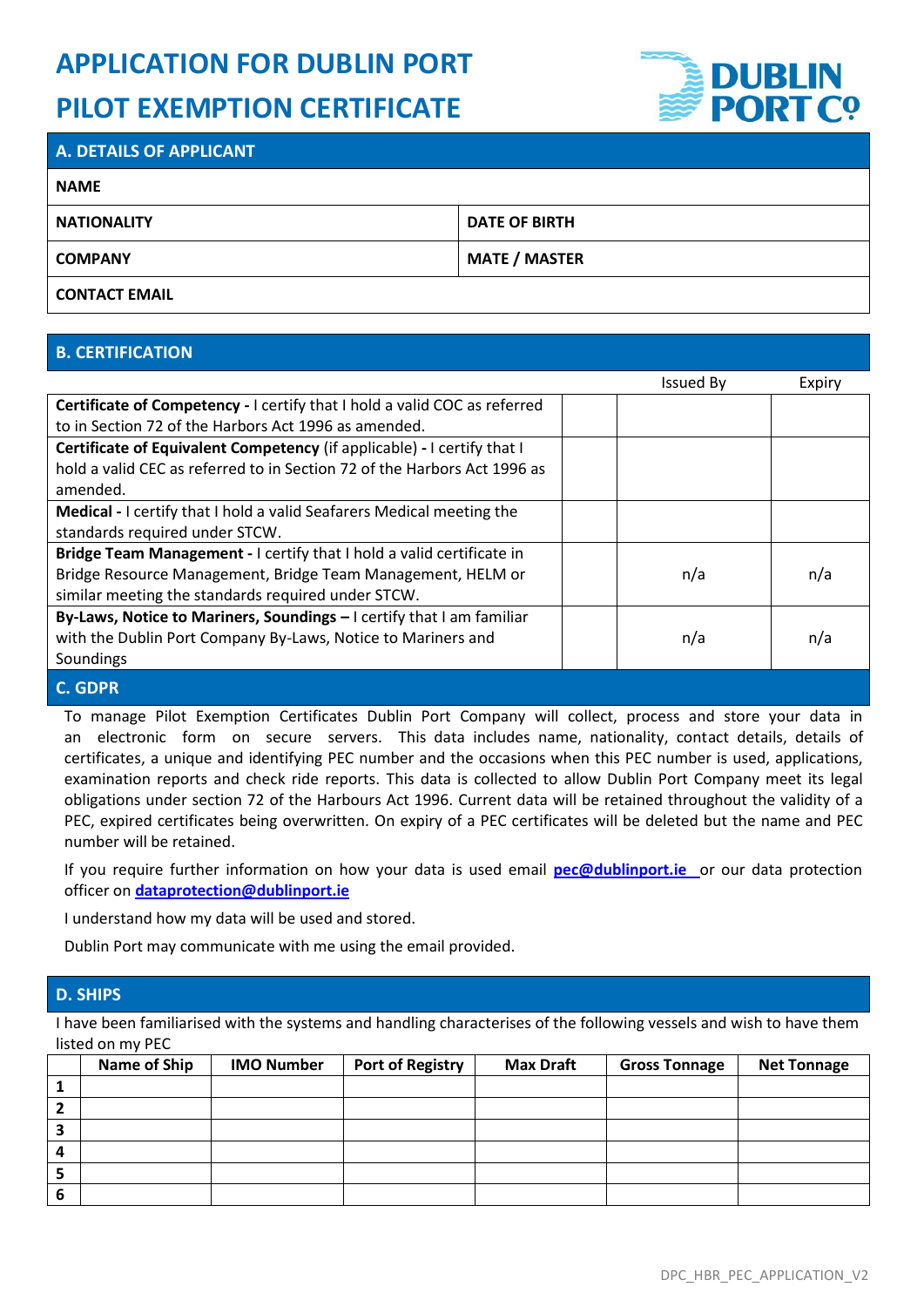# **APPLICATION FOR DUBLIN PORT PILOT EXEMPTION CERTIFICATE**



# **A. DETAILS OF APPLICANT NAME NATIONALITY DATE OF BIRTH COMPANY MATE / MASTER CONTACT EMAIL**

## **B. CERTIFICATION**

|                                                                           | <b>Issued By</b> | Expiry |
|---------------------------------------------------------------------------|------------------|--------|
| Certificate of Competency - I certify that I hold a valid COC as referred |                  |        |
| to in Section 72 of the Harbors Act 1996 as amended.                      |                  |        |
| Certificate of Equivalent Competency (if applicable) - I certify that I   |                  |        |
| hold a valid CEC as referred to in Section 72 of the Harbors Act 1996 as  |                  |        |
| amended.                                                                  |                  |        |
| Medical - I certify that I hold a valid Seafarers Medical meeting the     |                  |        |
| standards required under STCW.                                            |                  |        |
| Bridge Team Management - I certify that I hold a valid certificate in     |                  |        |
| Bridge Resource Management, Bridge Team Management, HELM or               | n/a              | n/a    |
| similar meeting the standards required under STCW.                        |                  |        |
| By-Laws, Notice to Mariners, Soundings - I certify that I am familiar     |                  |        |
| with the Dublin Port Company By-Laws, Notice to Mariners and              | n/a              | n/a    |
| Soundings                                                                 |                  |        |
| <b>C. GDPR</b>                                                            |                  |        |

To manage Pilot Exemption Certificates Dublin Port Company will collect, process and store your data in an electronic form on secure servers. This data includes name, nationality, contact details, details of certificates, a unique and identifying PEC number and the occasions when this PEC number is used, applications, examination reports and check ride reports. This data is collected to allow Dublin Port Company meet its legal obligations under section 72 of the Harbours Act 1996. Current data will be retained throughout the validity of a PEC, expired certificates being overwritten. On expiry of a PEC certificates will be deleted but the name and PEC number will be retained.

If you require further information on how your data is used email **[pec@dublinport.ie](mailto:pec@dublinport.ie)** or our data protection officer on **[dataprotection@dublinport.ie](mailto:dataprotection@dublinport.ie)**

I understand how my data will be used and stored.

Dublin Port may communicate with me using the email provided.

#### **D. SHIPS**

I have been familiarised with the systems and handling characterises of the following vessels and wish to have them listed on my PEC

|   | Name of Ship | <b>IMO Number</b> | <b>Port of Registry</b> | <b>Max Draft</b> | <b>Gross Tonnage</b> | <b>Net Tonnage</b> |
|---|--------------|-------------------|-------------------------|------------------|----------------------|--------------------|
|   |              |                   |                         |                  |                      |                    |
|   |              |                   |                         |                  |                      |                    |
|   |              |                   |                         |                  |                      |                    |
| 4 |              |                   |                         |                  |                      |                    |
| э |              |                   |                         |                  |                      |                    |
| o |              |                   |                         |                  |                      |                    |